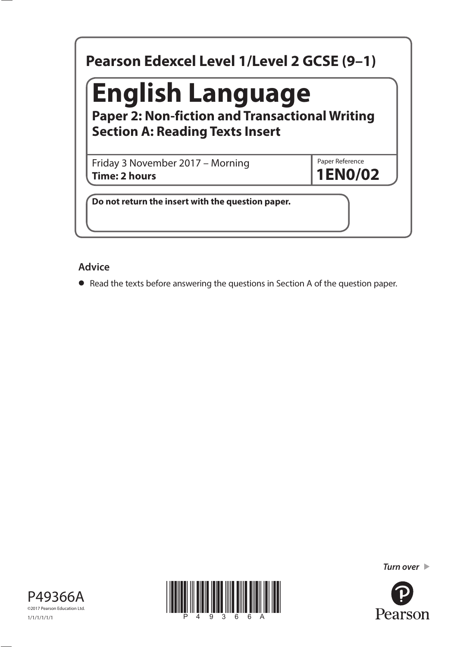# Paper Reference **1EN0/02 Do not return the insert with the question paper.** Friday 3 November 2017 – Morning **Time: 2 hours English Language Paper 2: Non-fiction and Transactional Writing Section A: Reading Texts Insert Pearson Edexcel Level 1/Level 2 GCSE (9–1)**

## **Advice**

**•** Read the texts before answering the questions in Section A of the question paper.







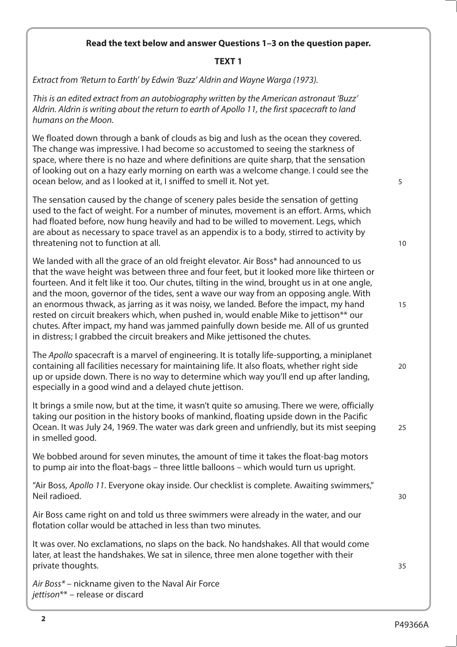#### **Read the text below and answer Questions 1–3 on the question paper.**

#### **TEXT 1**

Extract from 'Return to Earth' by Edwin 'Buzz' Aldrin and Wayne Warga (1973).

This is an edited extract from an autobiography written by the American astronaut 'Buzz' Aldrin. Aldrin is writing about the return to earth of Apollo 11, the first spacecraft to land humans on the Moon.

We floated down through a bank of clouds as big and lush as the ocean they covered. The change was impressive. I had become so accustomed to seeing the starkness of space, where there is no haze and where definitions are quite sharp, that the sensation of looking out on a hazy early morning on earth was a welcome change. I could see the ocean below, and as I looked at it, I sniffed to smell it. Not yet.

The sensation caused by the change of scenery pales beside the sensation of getting used to the fact of weight. For a number of minutes, movement is an effort. Arms, which had floated before, now hung heavily and had to be willed to movement. Legs, which are about as necessary to space travel as an appendix is to a body, stirred to activity by threatening not to function at all.

We landed with all the grace of an old freight elevator. Air Boss\* had announced to us that the wave height was between three and four feet, but it looked more like thirteen or fourteen. And it felt like it too. Our chutes, tilting in the wind, brought us in at one angle, and the moon, governor of the tides, sent a wave our way from an opposing angle. With an enormous thwack, as jarring as it was noisy, we landed. Before the impact, my hand rested on circuit breakers which, when pushed in, would enable Mike to jettison\*\* our chutes. After impact, my hand was jammed painfully down beside me. All of us grunted in distress; I grabbed the circuit breakers and Mike jettisoned the chutes.

The Apollo spacecraft is a marvel of engineering. It is totally life-supporting, a miniplanet containing all facilities necessary for maintaining life. It also floats, whether right side up or upside down. There is no way to determine which way you'll end up after landing, especially in a good wind and a delayed chute jettison.

It brings a smile now, but at the time, it wasn't quite so amusing. There we were, officially taking our position in the history books of mankind, floating upside down in the Pacific Ocean. It was July 24, 1969. The water was dark green and unfriendly, but its mist seeping in smelled good.

We bobbed around for seven minutes, the amount of time it takes the float-bag motors to pump air into the float-bags – three little balloons – which would turn us upright.

"Air Boss, Apollo 11. Everyone okay inside. Our checklist is complete. Awaiting swimmers," Neil radioed.

Air Boss came right on and told us three swimmers were already in the water, and our flotation collar would be attached in less than two minutes.

It was over. No exclamations, no slaps on the back. No handshakes. All that would come later, at least the handshakes. We sat in silence, three men alone together with their private thoughts.

Air Boss\* – nickname given to the Naval Air Force jettison\*\* – release or discard

5

10

15

 $20$ 

25

30

35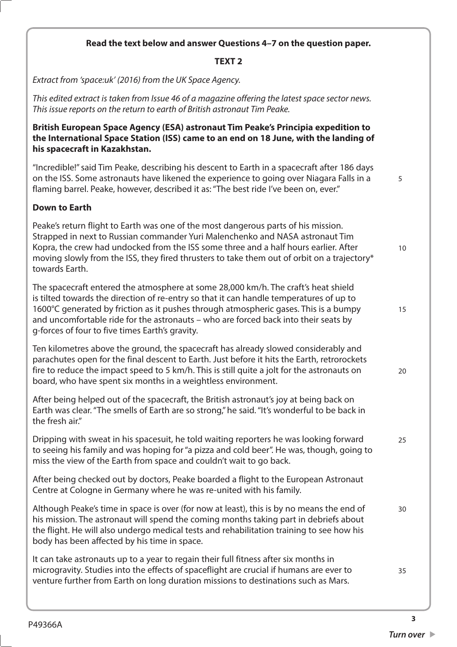#### **Read the text below and answer Questions 4–7 on the question paper.**

#### **TEXT 2**

Extract from 'space:uk' (2016) from the UK Space Agency.

This edited extract is taken from Issue 46 of a magazine offering the latest space sector news. This issue reports on the return to earth of British astronaut Tim Peake.

#### **British European Space Agency (ESA) astronaut Tim Peake's Principia expedition to the International Space Station (ISS) came to an end on 18 June, with the landing of his spacecraft in Kazakhstan.**

"Incredible!" said Tim Peake, describing his descent to Earth in a spacecraft after 186 days on the ISS. Some astronauts have likened the experience to going over Niagara Falls in a flaming barrel. Peake, however, described it as: "The best ride I've been on, ever."

## **Down to Earth**

Peake's return flight to Earth was one of the most dangerous parts of his mission. Strapped in next to Russian commander Yuri Malenchenko and NASA astronaut Tim Kopra, the crew had undocked from the ISS some three and a half hours earlier. After moving slowly from the ISS, they fired thrusters to take them out of orbit on a trajectory\* towards Earth.

The spacecraft entered the atmosphere at some 28,000 km/h. The craft's heat shield is tilted towards the direction of re-entry so that it can handle temperatures of up to 1600°C generated by friction as it pushes through atmospheric gases. This is a bumpy and uncomfortable ride for the astronauts – who are forced back into their seats by g-forces of four to five times Earth's gravity.

Ten kilometres above the ground, the spacecraft has already slowed considerably and parachutes open for the final descent to Earth. Just before it hits the Earth, retrorockets fire to reduce the impact speed to 5 km/h. This is still quite a jolt for the astronauts on board, who have spent six months in a weightless environment.

After being helped out of the spacecraft, the British astronaut's joy at being back on Earth was clear. "The smells of Earth are so strong," he said. "It's wonderful to be back in the fresh air."

Dripping with sweat in his spacesuit, he told waiting reporters he was looking forward to seeing his family and was hoping for "a pizza and cold beer". He was, though, going to miss the view of the Earth from space and couldn't wait to go back.

After being checked out by doctors, Peake boarded a flight to the European Astronaut Centre at Cologne in Germany where he was re-united with his family.

Although Peake's time in space is over (for now at least), this is by no means the end of his mission. The astronaut will spend the coming months taking part in debriefs about the flight. He will also undergo medical tests and rehabilitation training to see how his body has been affected by his time in space. 30

It can take astronauts up to a year to regain their full fitness after six months in microgravity. Studies into the effects of spaceflight are crucial if humans are ever to venture further from Earth on long duration missions to destinations such as Mars.

35

5

10

15

20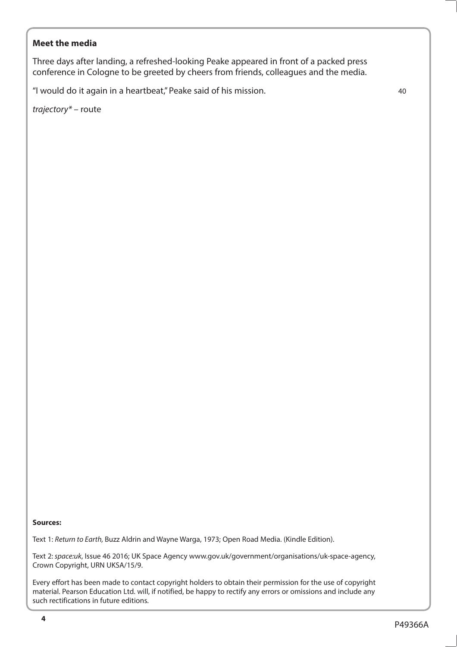## **Meet the media**

Three days after landing, a refreshed-looking Peake appeared in front of a packed press conference in Cologne to be greeted by cheers from friends, colleagues and the media.

"I would do it again in a heartbeat," Peake said of his mission.

trajectory\* – route

#### **Sources:**

Text 1: Return to Earth, Buzz Aldrin and Wayne Warga, 1973; Open Road Media. (Kindle Edition).

Text 2: space:uk, Issue 46 2016; UK Space Agency www.gov.uk/government/organisations/uk-space-agency, Crown Copyright, URN UKSA/15/9.

Every effort has been made to contact copyright holders to obtain their permission for the use of copyright material. Pearson Education Ltd. will, if notified, be happy to rectify any errors or omissions and include any such rectifications in future editions.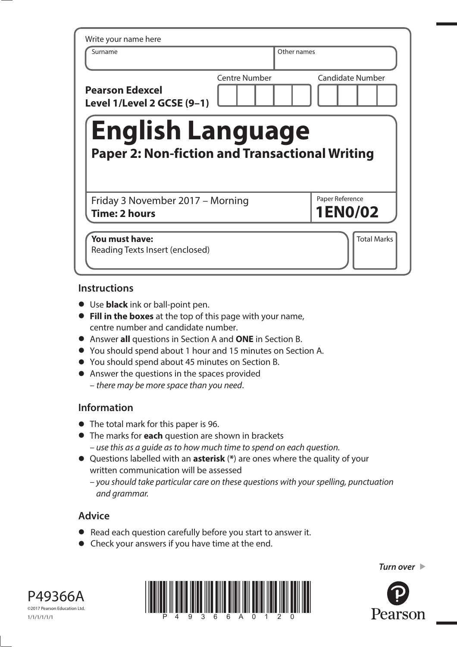| Surname                                                  |                      | Other names |                                   |
|----------------------------------------------------------|----------------------|-------------|-----------------------------------|
| <b>Pearson Edexcel</b><br>Level 1/Level 2 GCSE (9-1)     | <b>Centre Number</b> |             | Candidate Number                  |
|                                                          |                      |             |                                   |
| <b>English Language</b>                                  |                      |             |                                   |
| <b>Paper 2: Non-fiction and Transactional Writing</b>    |                      |             |                                   |
| Friday 3 November 2017 – Morning<br><b>Time: 2 hours</b> |                      |             | Paper Reference<br><b>1EN0/02</b> |
| You must have:                                           |                      |             | <b>Total Marks</b>                |

## **Instructions**

- **•** Use **black** ink or ball-point pen.
- **• Fill in the boxes** at the top of this page with your name, centre number and candidate number.
- **•** Answer **all** questions in Section A and **ONE** in Section B.
- **•** You should spend about 1 hour and 15 minutes on Section A.
- **•** You should spend about 45 minutes on Section B.
- **•** Answer the questions in the spaces provided

– there may be more space than you need.

## **Information**

- **•** The total mark for this paper is 96.
- **•** The marks for **each** question are shown in brackets – use this as a guide as to how much time to spend on each question.
- **•** Questions labelled with an **asterisk** (**\***) are ones where the quality of your written communication will be assessed
	- you should take particular care on these questions with your spelling, punctuation and grammar.

## **Advice**

- **•** Read each question carefully before you start to answer it.
- **•** Check your answers if you have time at the end.





**Turn over** 

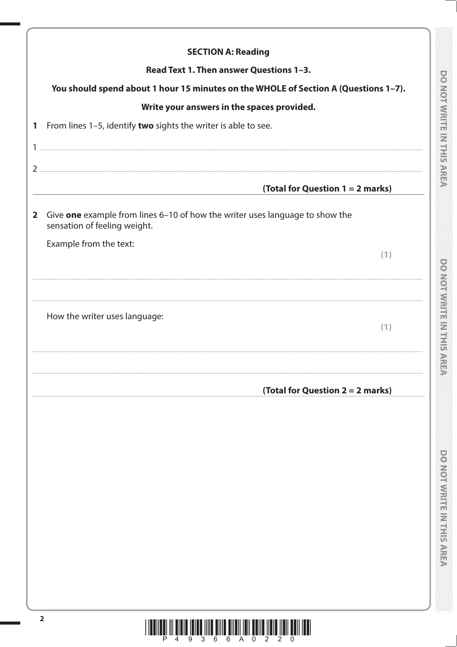| Read Text 1. Then answer Questions 1-3.<br>You should spend about 1 hour 15 minutes on the WHOLE of Section A (Questions 1-7).<br>Write your answers in the spaces provided.<br>From lines 1-5, identify two sights the writer is able to see.<br>$2$<br>(Total for Question 1 = 2 marks)<br>Give one example from lines 6-10 of how the writer uses language to show the<br>sensation of feeling weight.<br>Example from the text:<br>(1)<br>How the writer uses language:<br>(1)<br>(Total for Question 2 = 2 marks) | <b>SECTION A: Reading</b> |  |
|------------------------------------------------------------------------------------------------------------------------------------------------------------------------------------------------------------------------------------------------------------------------------------------------------------------------------------------------------------------------------------------------------------------------------------------------------------------------------------------------------------------------|---------------------------|--|
|                                                                                                                                                                                                                                                                                                                                                                                                                                                                                                                        |                           |  |
|                                                                                                                                                                                                                                                                                                                                                                                                                                                                                                                        |                           |  |
|                                                                                                                                                                                                                                                                                                                                                                                                                                                                                                                        |                           |  |
|                                                                                                                                                                                                                                                                                                                                                                                                                                                                                                                        |                           |  |
|                                                                                                                                                                                                                                                                                                                                                                                                                                                                                                                        |                           |  |
|                                                                                                                                                                                                                                                                                                                                                                                                                                                                                                                        |                           |  |
|                                                                                                                                                                                                                                                                                                                                                                                                                                                                                                                        |                           |  |
|                                                                                                                                                                                                                                                                                                                                                                                                                                                                                                                        |                           |  |
|                                                                                                                                                                                                                                                                                                                                                                                                                                                                                                                        |                           |  |
|                                                                                                                                                                                                                                                                                                                                                                                                                                                                                                                        |                           |  |
|                                                                                                                                                                                                                                                                                                                                                                                                                                                                                                                        |                           |  |
|                                                                                                                                                                                                                                                                                                                                                                                                                                                                                                                        |                           |  |
|                                                                                                                                                                                                                                                                                                                                                                                                                                                                                                                        |                           |  |
|                                                                                                                                                                                                                                                                                                                                                                                                                                                                                                                        |                           |  |
|                                                                                                                                                                                                                                                                                                                                                                                                                                                                                                                        |                           |  |
|                                                                                                                                                                                                                                                                                                                                                                                                                                                                                                                        |                           |  |
|                                                                                                                                                                                                                                                                                                                                                                                                                                                                                                                        |                           |  |
|                                                                                                                                                                                                                                                                                                                                                                                                                                                                                                                        |                           |  |
|                                                                                                                                                                                                                                                                                                                                                                                                                                                                                                                        |                           |  |
|                                                                                                                                                                                                                                                                                                                                                                                                                                                                                                                        |                           |  |
|                                                                                                                                                                                                                                                                                                                                                                                                                                                                                                                        |                           |  |
|                                                                                                                                                                                                                                                                                                                                                                                                                                                                                                                        |                           |  |
|                                                                                                                                                                                                                                                                                                                                                                                                                                                                                                                        |                           |  |
|                                                                                                                                                                                                                                                                                                                                                                                                                                                                                                                        |                           |  |
|                                                                                                                                                                                                                                                                                                                                                                                                                                                                                                                        |                           |  |
|                                                                                                                                                                                                                                                                                                                                                                                                                                                                                                                        |                           |  |
|                                                                                                                                                                                                                                                                                                                                                                                                                                                                                                                        |                           |  |

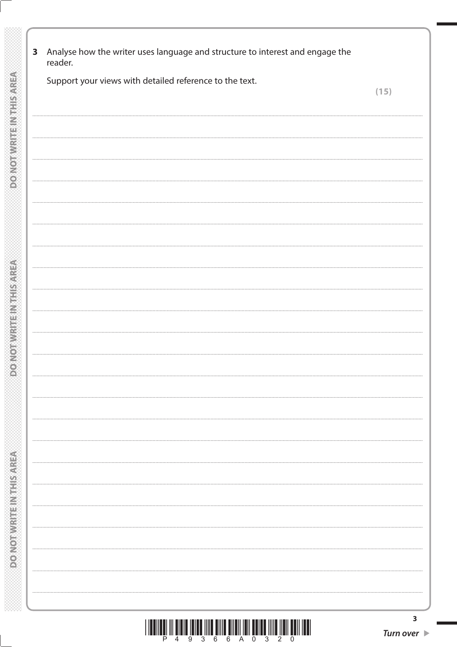| $\mathbf{3}$ | Analyse how the writer uses language and structure to interest and engage the<br>reader. |      |
|--------------|------------------------------------------------------------------------------------------|------|
|              | Support your views with detailed reference to the text.                                  | (15) |
|              |                                                                                          |      |
|              |                                                                                          |      |
|              |                                                                                          |      |
|              |                                                                                          |      |
|              |                                                                                          |      |
|              |                                                                                          |      |
|              |                                                                                          |      |
|              |                                                                                          |      |
|              |                                                                                          |      |
|              |                                                                                          |      |
|              |                                                                                          |      |
|              |                                                                                          |      |
|              |                                                                                          |      |
|              |                                                                                          |      |
|              |                                                                                          |      |
|              |                                                                                          |      |
|              |                                                                                          |      |
|              |                                                                                          |      |
|              |                                                                                          |      |
|              |                                                                                          |      |
|              |                                                                                          |      |

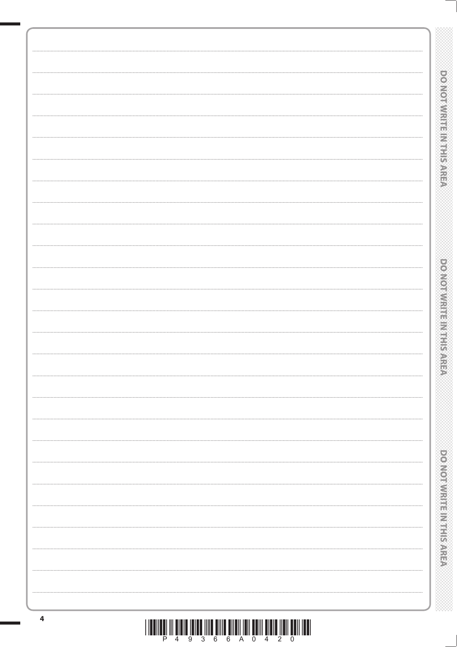| ğ<br>Ō                   |  |
|--------------------------|--|
|                          |  |
|                          |  |
|                          |  |
| é                        |  |
|                          |  |
| ċ<br>ķ                   |  |
|                          |  |
| ×                        |  |
|                          |  |
|                          |  |
| ÷<br>j                   |  |
|                          |  |
|                          |  |
|                          |  |
| スペン・スペン・スペン スペン・スペン<br>ą |  |
|                          |  |
|                          |  |
| a<br>M                   |  |
|                          |  |
| Ê                        |  |
| ý                        |  |
|                          |  |
|                          |  |
|                          |  |
| $\frac{1}{2}$            |  |
|                          |  |
|                          |  |
|                          |  |
|                          |  |
|                          |  |
|                          |  |
|                          |  |
|                          |  |
|                          |  |
|                          |  |
|                          |  |
| ۲                        |  |
|                          |  |
|                          |  |
|                          |  |
|                          |  |
|                          |  |
|                          |  |
|                          |  |
|                          |  |
|                          |  |
|                          |  |
|                          |  |
|                          |  |
|                          |  |
|                          |  |
|                          |  |
|                          |  |
|                          |  |
|                          |  |
|                          |  |
|                          |  |
|                          |  |
|                          |  |
|                          |  |
|                          |  |
|                          |  |
|                          |  |
| Ž                        |  |
|                          |  |
|                          |  |
|                          |  |
|                          |  |
| $\frac{1}{2}$            |  |
| Þ                        |  |
|                          |  |
|                          |  |
|                          |  |
|                          |  |
| ヘヘヘヘヘヘヘヘヘ<br>e<br>O      |  |
| ÷.                       |  |
| , YVVVVVVVVVVVVVV        |  |
|                          |  |
|                          |  |
|                          |  |
|                          |  |
|                          |  |
|                          |  |
| ï<br>¥                   |  |
|                          |  |
|                          |  |
| Ņ                        |  |
|                          |  |
|                          |  |
| $\epsilon$               |  |
|                          |  |
| XXXXXXXXX                |  |
|                          |  |
|                          |  |
|                          |  |
|                          |  |
| 医三角                      |  |
|                          |  |
|                          |  |
|                          |  |
|                          |  |
|                          |  |
|                          |  |
|                          |  |
| ř                        |  |
|                          |  |
|                          |  |
|                          |  |

| 4 |
|---|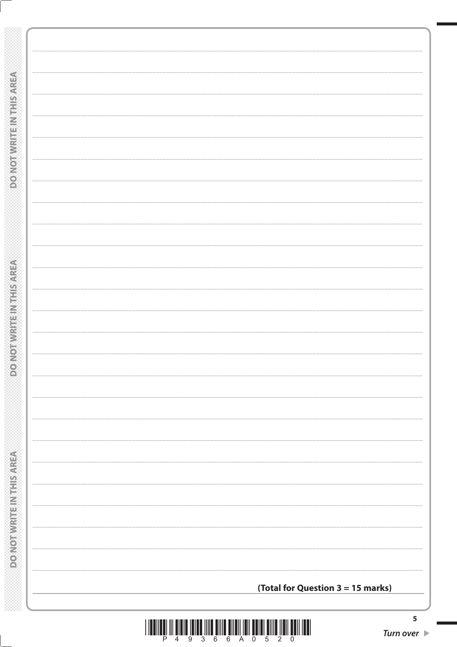| <b>DO NOTHER REPORTED AND</b> |                                   |
|-------------------------------|-----------------------------------|
|                               |                                   |
|                               |                                   |
|                               |                                   |
|                               |                                   |
|                               |                                   |
|                               |                                   |
|                               |                                   |
|                               |                                   |
|                               |                                   |
|                               |                                   |
|                               |                                   |
|                               |                                   |
|                               |                                   |
|                               |                                   |
|                               |                                   |
|                               |                                   |
|                               |                                   |
|                               |                                   |
|                               |                                   |
|                               |                                   |
|                               |                                   |
|                               |                                   |
|                               |                                   |
|                               |                                   |
|                               |                                   |
|                               |                                   |
|                               |                                   |
|                               |                                   |
|                               |                                   |
|                               |                                   |
|                               |                                   |
|                               |                                   |
| <b>MOTRWARE BINEED STATE</b>  |                                   |
|                               |                                   |
|                               |                                   |
|                               |                                   |
|                               |                                   |
|                               |                                   |
|                               |                                   |
|                               |                                   |
|                               |                                   |
| ő                             |                                   |
| ø                             |                                   |
|                               |                                   |
|                               |                                   |
|                               |                                   |
|                               |                                   |
|                               |                                   |
|                               |                                   |
|                               |                                   |
|                               |                                   |
|                               |                                   |
|                               |                                   |
|                               |                                   |
|                               |                                   |
|                               |                                   |
|                               |                                   |
|                               |                                   |
|                               |                                   |
|                               |                                   |
|                               |                                   |
|                               |                                   |
|                               |                                   |
|                               |                                   |
|                               |                                   |
|                               |                                   |
|                               |                                   |
|                               |                                   |
| <b>DONOTWRITEINSKISAREA</b>   |                                   |
|                               |                                   |
|                               |                                   |
|                               |                                   |
|                               | (Total for Question 3 = 15 marks) |
|                               |                                   |
|                               |                                   |
|                               |                                   |

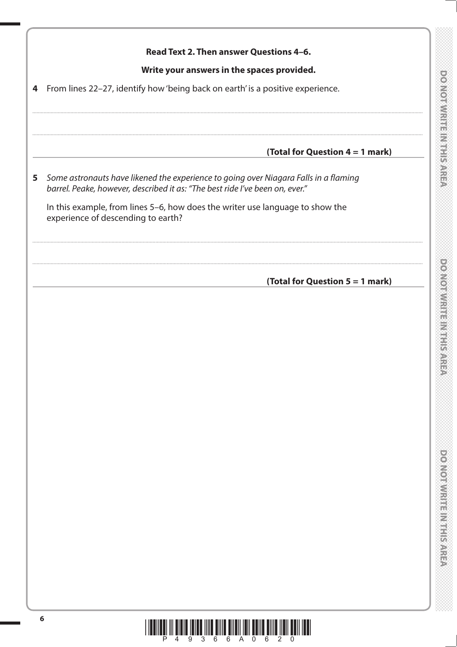| Read Text 2. Then answer Questions 4-6. |  |  |  |  |
|-----------------------------------------|--|--|--|--|
|-----------------------------------------|--|--|--|--|

#### Write your answers in the spaces provided.

From lines 22-27, identify how 'being back on earth' is a positive experience.  $\overline{\mathbf{4}}$ 

## (Total for Question  $4 = 1$  mark)

5 Some astronauts have likened the experience to going over Niagara Falls in a flaming barrel. Peake, however, described it as: "The best ride I've been on, ever."

In this example, from lines 5-6, how does the writer use language to show the experience of descending to earth?

## (Total for Question  $5 = 1$  mark)

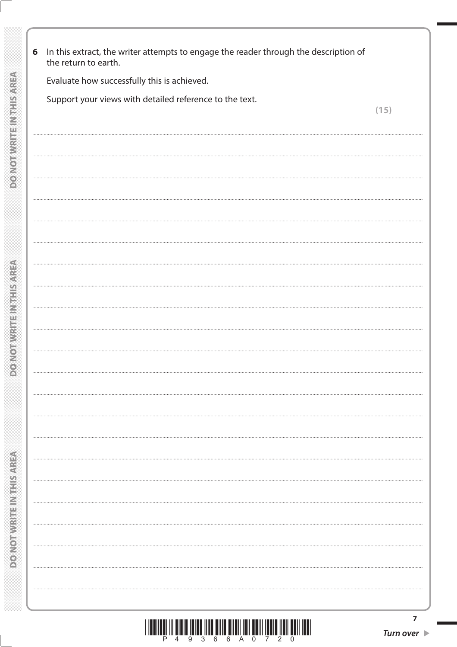| 6 | In this extract, the writer attempts to engage the reader through the description of<br>the return to earth. |      |
|---|--------------------------------------------------------------------------------------------------------------|------|
|   | Evaluate how successfully this is achieved.                                                                  |      |
|   | Support your views with detailed reference to the text.                                                      |      |
|   |                                                                                                              | (15) |
|   |                                                                                                              |      |
|   |                                                                                                              |      |
|   |                                                                                                              |      |
|   |                                                                                                              |      |
|   |                                                                                                              |      |
|   |                                                                                                              |      |
|   |                                                                                                              |      |
|   |                                                                                                              |      |
|   |                                                                                                              |      |
|   |                                                                                                              |      |
|   |                                                                                                              |      |
|   |                                                                                                              |      |
|   |                                                                                                              |      |
|   |                                                                                                              |      |
|   |                                                                                                              |      |
|   |                                                                                                              |      |
|   |                                                                                                              |      |
|   |                                                                                                              |      |
|   |                                                                                                              |      |
|   |                                                                                                              |      |
|   |                                                                                                              |      |
|   |                                                                                                              |      |
|   |                                                                                                              |      |
|   |                                                                                                              |      |
|   |                                                                                                              |      |
|   |                                                                                                              |      |
|   |                                                                                                              |      |

**DO NOT WRITE IN THIS AREA** 

**DO NOT WIRTH IN THIS AREA** 

**DONOT WRITEIN THIS AREA** 

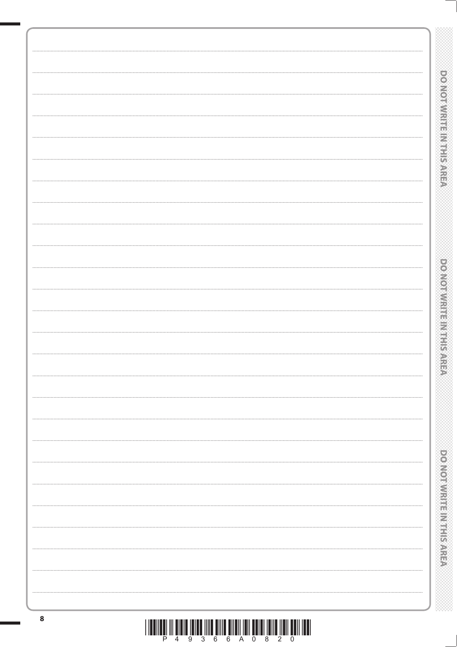| Ž<br>ź<br>≷<br>ź<br>$\langle$<br>ì<br>ĭ<br>⟩<br>≷<br>í<br>Ş<br>ò<br>پا<br>ž<br>r.<br>Ş<br>ź<br>٧<br>Š<br>8<br>▄<br>Z.<br>Ş<br>×<br>Ş<br>$\circ$<br>5 |
|------------------------------------------------------------------------------------------------------------------------------------------------------|
|                                                                                                                                                      |
|                                                                                                                                                      |
|                                                                                                                                                      |
|                                                                                                                                                      |
|                                                                                                                                                      |
|                                                                                                                                                      |
|                                                                                                                                                      |
|                                                                                                                                                      |
|                                                                                                                                                      |
|                                                                                                                                                      |
|                                                                                                                                                      |
|                                                                                                                                                      |
|                                                                                                                                                      |
|                                                                                                                                                      |
|                                                                                                                                                      |
|                                                                                                                                                      |
|                                                                                                                                                      |
|                                                                                                                                                      |
|                                                                                                                                                      |
|                                                                                                                                                      |
|                                                                                                                                                      |
|                                                                                                                                                      |
|                                                                                                                                                      |
|                                                                                                                                                      |
|                                                                                                                                                      |
|                                                                                                                                                      |
|                                                                                                                                                      |
|                                                                                                                                                      |
|                                                                                                                                                      |
|                                                                                                                                                      |
|                                                                                                                                                      |
|                                                                                                                                                      |
|                                                                                                                                                      |
|                                                                                                                                                      |
|                                                                                                                                                      |
|                                                                                                                                                      |
| اكت<br>ξ                                                                                                                                             |
|                                                                                                                                                      |
| ξ                                                                                                                                                    |
| Ĕ                                                                                                                                                    |
|                                                                                                                                                      |
| ź                                                                                                                                                    |
| j                                                                                                                                                    |
| ₩<br>Ş                                                                                                                                               |
|                                                                                                                                                      |
| 쓰<br>Ş                                                                                                                                               |
|                                                                                                                                                      |
| ∖                                                                                                                                                    |
| $\simeq$                                                                                                                                             |
| j                                                                                                                                                    |
| 8                                                                                                                                                    |
|                                                                                                                                                      |
|                                                                                                                                                      |
| Ş                                                                                                                                                    |
| $\sim$<br>$\left\langle \right\rangle$                                                                                                               |
| m                                                                                                                                                    |
| ⋋                                                                                                                                                    |
| 2<br>E.                                                                                                                                              |
|                                                                                                                                                      |
| $\left\langle \right\rangle$                                                                                                                         |
|                                                                                                                                                      |
| ₩<br>$\ddot{\phantom{0}}$                                                                                                                            |
| $\overline{\phantom{0}}$                                                                                                                             |
|                                                                                                                                                      |
| 董<br>ï                                                                                                                                               |
|                                                                                                                                                      |
| Ş<br>≃                                                                                                                                               |
| Ž                                                                                                                                                    |
| h                                                                                                                                                    |
|                                                                                                                                                      |
|                                                                                                                                                      |
|                                                                                                                                                      |
| Ŝ<br>ź                                                                                                                                               |
| î.                                                                                                                                                   |
|                                                                                                                                                      |
| b<br>ş<br>é                                                                                                                                          |
| a.                                                                                                                                                   |
| ž                                                                                                                                                    |
| è<br>h                                                                                                                                               |
| Ž                                                                                                                                                    |
| л                                                                                                                                                    |
|                                                                                                                                                      |
|                                                                                                                                                      |
| Ş<br>ź                                                                                                                                               |
| Þ                                                                                                                                                    |
| ź                                                                                                                                                    |
| ì                                                                                                                                                    |
| ì                                                                                                                                                    |
|                                                                                                                                                      |
|                                                                                                                                                      |
| )                                                                                                                                                    |
| š                                                                                                                                                    |
| Ś                                                                                                                                                    |
| ć                                                                                                                                                    |
|                                                                                                                                                      |
|                                                                                                                                                      |
| Ş                                                                                                                                                    |

| ${\bf 8}$ |  |  |
|-----------|--|--|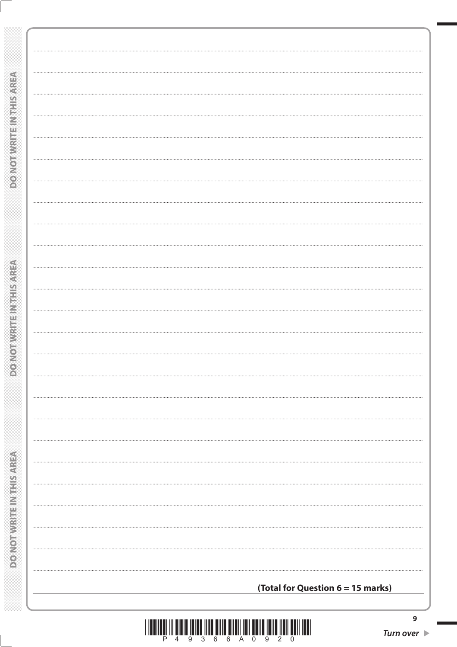| <b>DO NOTHER REINGERS AREA</b>    |                                   |
|-----------------------------------|-----------------------------------|
|                                   |                                   |
|                                   |                                   |
|                                   |                                   |
|                                   |                                   |
|                                   |                                   |
|                                   |                                   |
|                                   |                                   |
|                                   |                                   |
|                                   |                                   |
|                                   |                                   |
|                                   |                                   |
|                                   |                                   |
|                                   |                                   |
|                                   |                                   |
|                                   |                                   |
|                                   |                                   |
|                                   |                                   |
|                                   |                                   |
|                                   |                                   |
| <b>MOTRWARE BINEED STATE</b>      |                                   |
|                                   |                                   |
|                                   |                                   |
|                                   |                                   |
| ő                                 |                                   |
| œ                                 |                                   |
|                                   |                                   |
|                                   |                                   |
|                                   |                                   |
|                                   |                                   |
|                                   |                                   |
|                                   |                                   |
|                                   |                                   |
|                                   |                                   |
| <b>REPARTING TERMINING CONCER</b> |                                   |
|                                   |                                   |
|                                   |                                   |
|                                   |                                   |
|                                   |                                   |
|                                   |                                   |
|                                   |                                   |
|                                   |                                   |
|                                   |                                   |
|                                   |                                   |
|                                   |                                   |
|                                   |                                   |
|                                   | (Total for Question 6 = 15 marks) |
|                                   |                                   |
|                                   |                                   |

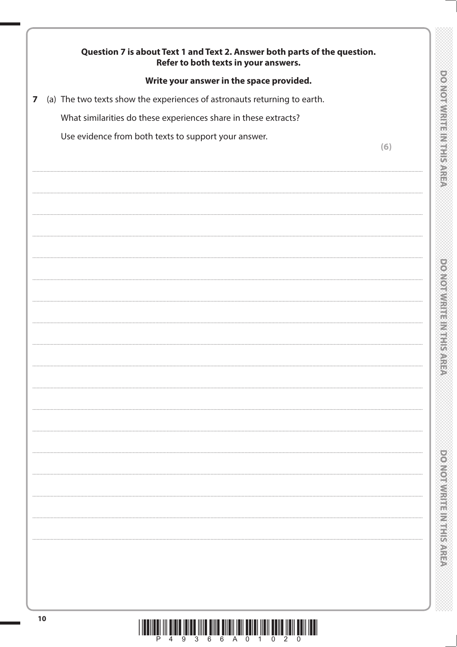| Question 7 is about Text 1 and Text 2. Answer both parts of the question.<br>Refer to both texts in your answers. |     |
|-------------------------------------------------------------------------------------------------------------------|-----|
| Write your answer in the space provided.                                                                          |     |
| (a) The two texts show the experiences of astronauts returning to earth.<br>7                                     |     |
| What similarities do these experiences share in these extracts?                                                   |     |
| Use evidence from both texts to support your answer.                                                              | (6) |
|                                                                                                                   |     |
|                                                                                                                   |     |
|                                                                                                                   |     |
|                                                                                                                   |     |
|                                                                                                                   |     |
|                                                                                                                   |     |
|                                                                                                                   |     |
|                                                                                                                   |     |
|                                                                                                                   |     |
|                                                                                                                   |     |
|                                                                                                                   |     |
|                                                                                                                   |     |
|                                                                                                                   |     |
|                                                                                                                   |     |
|                                                                                                                   |     |
|                                                                                                                   |     |
|                                                                                                                   |     |
|                                                                                                                   |     |
|                                                                                                                   |     |
|                                                                                                                   |     |
|                                                                                                                   |     |
|                                                                                                                   |     |
|                                                                                                                   |     |
|                                                                                                                   |     |
|                                                                                                                   |     |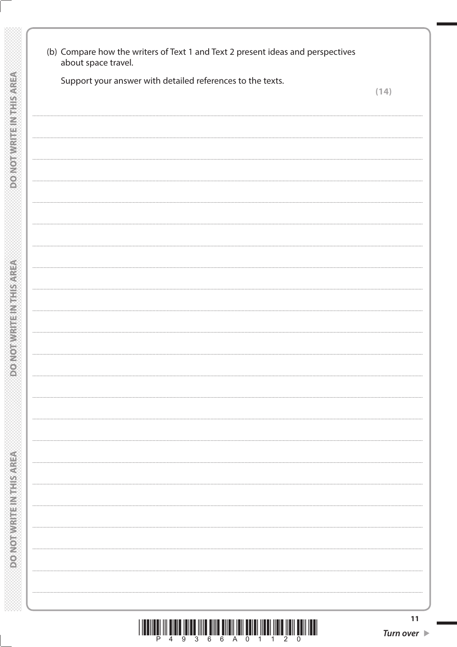| Support your answer with detailed references to the texts. |      |  |  |  |  |  |
|------------------------------------------------------------|------|--|--|--|--|--|
|                                                            | (14) |  |  |  |  |  |
|                                                            |      |  |  |  |  |  |
|                                                            |      |  |  |  |  |  |
|                                                            |      |  |  |  |  |  |
|                                                            |      |  |  |  |  |  |
|                                                            |      |  |  |  |  |  |
|                                                            |      |  |  |  |  |  |
|                                                            |      |  |  |  |  |  |
|                                                            |      |  |  |  |  |  |
|                                                            |      |  |  |  |  |  |
|                                                            |      |  |  |  |  |  |
|                                                            |      |  |  |  |  |  |
|                                                            |      |  |  |  |  |  |
|                                                            |      |  |  |  |  |  |
|                                                            |      |  |  |  |  |  |
|                                                            |      |  |  |  |  |  |
|                                                            |      |  |  |  |  |  |
|                                                            |      |  |  |  |  |  |
|                                                            |      |  |  |  |  |  |
|                                                            |      |  |  |  |  |  |
|                                                            |      |  |  |  |  |  |
|                                                            |      |  |  |  |  |  |
|                                                            |      |  |  |  |  |  |
|                                                            |      |  |  |  |  |  |
|                                                            |      |  |  |  |  |  |
|                                                            |      |  |  |  |  |  |
|                                                            |      |  |  |  |  |  |
|                                                            |      |  |  |  |  |  |
|                                                            |      |  |  |  |  |  |
|                                                            |      |  |  |  |  |  |
|                                                            |      |  |  |  |  |  |
|                                                            |      |  |  |  |  |  |
|                                                            |      |  |  |  |  |  |
|                                                            |      |  |  |  |  |  |
|                                                            |      |  |  |  |  |  |
|                                                            |      |  |  |  |  |  |
|                                                            |      |  |  |  |  |  |
|                                                            |      |  |  |  |  |  |
|                                                            |      |  |  |  |  |  |

**DONOTWRITE IN THIS AREA** 

**DONOTWRITEINTHISMREA** 

**DONOTWRITEIN THIS AREA**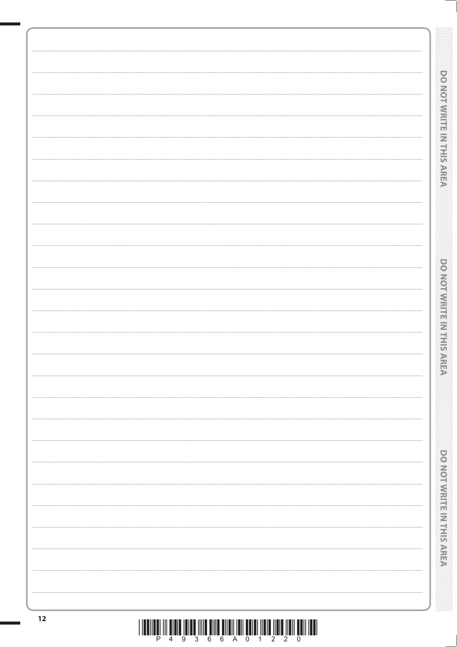|  |    |    | Ñ |   |  |
|--|----|----|---|---|--|
|  |    |    |   |   |  |
|  |    |    |   |   |  |
|  |    |    |   |   |  |
|  |    | ĺ  |   |   |  |
|  |    |    |   |   |  |
|  |    |    |   |   |  |
|  |    |    |   |   |  |
|  |    | ×  |   |   |  |
|  |    |    |   |   |  |
|  | î  |    | ⊨ | í |  |
|  |    |    |   |   |  |
|  |    |    |   |   |  |
|  |    |    |   |   |  |
|  |    |    |   |   |  |
|  |    |    |   | l |  |
|  |    | ×, |   |   |  |
|  |    |    |   |   |  |
|  |    |    |   |   |  |
|  |    | é  |   |   |  |
|  |    |    |   |   |  |
|  |    |    |   |   |  |
|  |    | ì. |   |   |  |
|  |    |    |   |   |  |
|  | 美俚 |    |   |   |  |
|  |    |    |   |   |  |
|  |    |    |   |   |  |
|  |    |    |   | l |  |
|  |    |    |   |   |  |
|  |    | ≚  |   |   |  |
|  |    |    |   |   |  |
|  |    |    |   |   |  |
|  |    |    | i |   |  |
|  |    |    |   |   |  |
|  |    |    |   |   |  |
|  |    | ∍  |   | İ |  |
|  |    |    |   |   |  |
|  |    | è  |   | l |  |
|  |    |    |   |   |  |
|  |    | è  |   |   |  |
|  |    |    |   |   |  |
|  |    |    |   |   |  |
|  |    | ₩  |   |   |  |
|  |    |    |   |   |  |
|  | ¥  |    |   |   |  |
|  |    |    |   |   |  |
|  |    |    |   |   |  |
|  |    | ć  |   |   |  |
|  |    |    |   |   |  |
|  |    |    |   |   |  |
|  |    |    |   | ١ |  |
|  |    |    |   |   |  |
|  |    |    |   |   |  |
|  | ŝ  |    |   |   |  |
|  |    |    |   |   |  |
|  |    |    |   |   |  |
|  |    |    |   |   |  |
|  |    | É  |   |   |  |
|  |    |    |   |   |  |
|  |    |    |   |   |  |
|  | í  |    |   |   |  |
|  | l  |    |   |   |  |
|  |    |    |   |   |  |
|  | g  |    | è |   |  |
|  |    |    |   |   |  |
|  | ŏ  |    |   |   |  |
|  |    |    |   |   |  |
|  |    |    |   |   |  |
|  |    |    |   |   |  |
|  |    |    |   |   |  |
|  |    |    |   |   |  |
|  |    |    |   |   |  |

| $12$ | ¦"¦<br>$\overline{4}$ |  |                                |
|------|-----------------------|--|--------------------------------|
|      |                       |  | <b>Designations</b>            |
|      |                       |  |                                |
|      |                       |  | <b>PONOININE IN NETWORKS</b>   |
|      |                       |  |                                |
|      |                       |  |                                |
|      |                       |  |                                |
|      |                       |  | <b>DOMORRING IN THE READER</b> |
|      |                       |  |                                |
|      |                       |  |                                |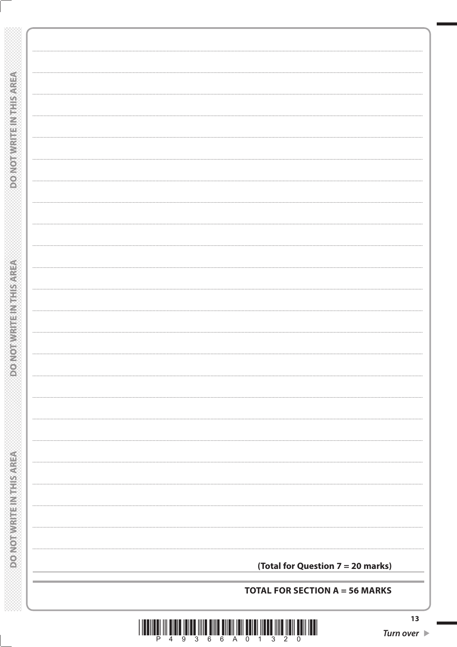| <b>DONORWRITEINTHISAREA</b>                 |                                       |
|---------------------------------------------|---------------------------------------|
|                                             |                                       |
|                                             |                                       |
|                                             |                                       |
|                                             |                                       |
|                                             |                                       |
|                                             |                                       |
|                                             |                                       |
|                                             |                                       |
|                                             |                                       |
|                                             |                                       |
|                                             |                                       |
|                                             |                                       |
|                                             |                                       |
|                                             |                                       |
|                                             |                                       |
|                                             |                                       |
|                                             |                                       |
|                                             |                                       |
|                                             |                                       |
|                                             |                                       |
|                                             |                                       |
|                                             |                                       |
|                                             |                                       |
| <b><i><u>CONTRACTORS IN STRACTS</u></i></b> |                                       |
|                                             |                                       |
|                                             |                                       |
|                                             |                                       |
| Č                                           |                                       |
|                                             |                                       |
|                                             |                                       |
|                                             |                                       |
|                                             |                                       |
|                                             |                                       |
|                                             |                                       |
|                                             |                                       |
|                                             |                                       |
|                                             |                                       |
|                                             |                                       |
|                                             |                                       |
|                                             |                                       |
|                                             |                                       |
|                                             |                                       |
|                                             |                                       |
|                                             |                                       |
|                                             |                                       |
| <b>DO NOT WRITE IN THIS AREA</b>            |                                       |
|                                             |                                       |
|                                             | (Total for Question 7 = 20 marks)     |
|                                             |                                       |
|                                             | <b>TOTAL FOR SECTION A = 56 MARKS</b> |
|                                             |                                       |
|                                             |                                       |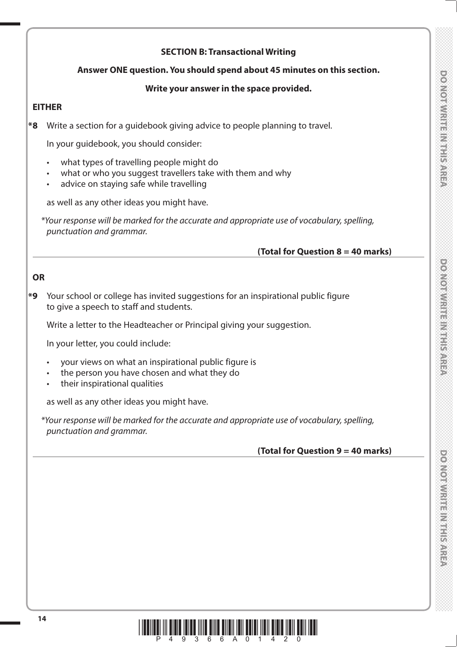**DOMORWRITEINGSTRASSE** 

**SECTION B: Transactional Writing**

## **Answer ONE question. You should spend about 45 minutes on this section.**

## **Write your answer in the space provided.**

## **EITHER**

**8** Write a section for a guidebook giving advice to people planning to travel. **\***

In your guidebook, you should consider:

- what types of travelling people might do
- what or who you suggest travellers take with them and why
- advice on staying safe while travelling

as well as any other ideas you might have.

\*Your response will be marked for the accurate and appropriate use of vocabulary, spelling, punctuation and grammar.

## **(Total for Question 8 = 40 marks)**

## **OR**

**9** Your school or college has invited suggestions for an inspirational public figure to give a speech to staff and students. **\***

Write a letter to the Headteacher or Principal giving your suggestion.

In your letter, you could include:

- your views on what an inspirational public figure is
- the person you have chosen and what they do
- their inspirational qualities

as well as any other ideas you might have.

\*Your response will be marked for the accurate and appropriate use of vocabulary, spelling, punctuation and grammar.

 **(Total for Question 9 = 40 marks)**

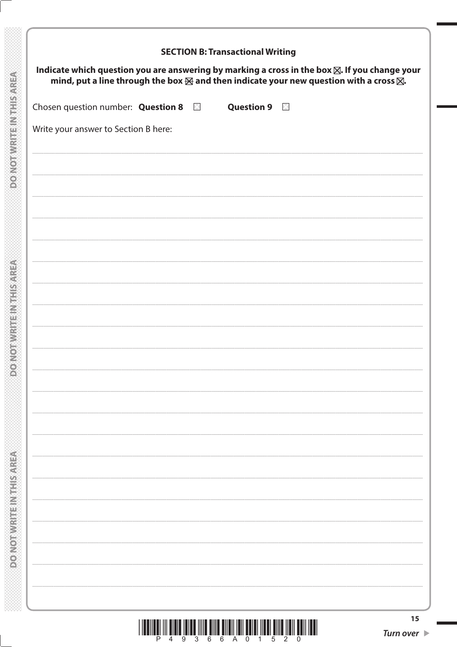|                                                                                                                                                                                                                         | <b>SECTION B: Transactional Writing</b> |  |  |  |  |  |
|-------------------------------------------------------------------------------------------------------------------------------------------------------------------------------------------------------------------------|-----------------------------------------|--|--|--|--|--|
| Indicate which question you are answering by marking a cross in the box $\boxtimes$ . If you change your<br>mind, put a line through the box $\boxtimes$ and then indicate your new question with a cross $\boxtimes$ . |                                         |  |  |  |  |  |
| Chosen question number: Question 8                                                                                                                                                                                      | Question 9                              |  |  |  |  |  |
| Write your answer to Section B here:                                                                                                                                                                                    |                                         |  |  |  |  |  |
|                                                                                                                                                                                                                         |                                         |  |  |  |  |  |
|                                                                                                                                                                                                                         |                                         |  |  |  |  |  |
|                                                                                                                                                                                                                         |                                         |  |  |  |  |  |
|                                                                                                                                                                                                                         |                                         |  |  |  |  |  |
|                                                                                                                                                                                                                         |                                         |  |  |  |  |  |
|                                                                                                                                                                                                                         |                                         |  |  |  |  |  |
|                                                                                                                                                                                                                         |                                         |  |  |  |  |  |
|                                                                                                                                                                                                                         |                                         |  |  |  |  |  |
|                                                                                                                                                                                                                         |                                         |  |  |  |  |  |
|                                                                                                                                                                                                                         |                                         |  |  |  |  |  |
|                                                                                                                                                                                                                         |                                         |  |  |  |  |  |
|                                                                                                                                                                                                                         |                                         |  |  |  |  |  |
|                                                                                                                                                                                                                         |                                         |  |  |  |  |  |
|                                                                                                                                                                                                                         |                                         |  |  |  |  |  |
|                                                                                                                                                                                                                         |                                         |  |  |  |  |  |
|                                                                                                                                                                                                                         |                                         |  |  |  |  |  |
|                                                                                                                                                                                                                         |                                         |  |  |  |  |  |
|                                                                                                                                                                                                                         |                                         |  |  |  |  |  |
|                                                                                                                                                                                                                         |                                         |  |  |  |  |  |
|                                                                                                                                                                                                                         |                                         |  |  |  |  |  |
|                                                                                                                                                                                                                         |                                         |  |  |  |  |  |

**DO NOTWERF INTHIS AREA** 

DO NOT WRITE IN THIS AREA

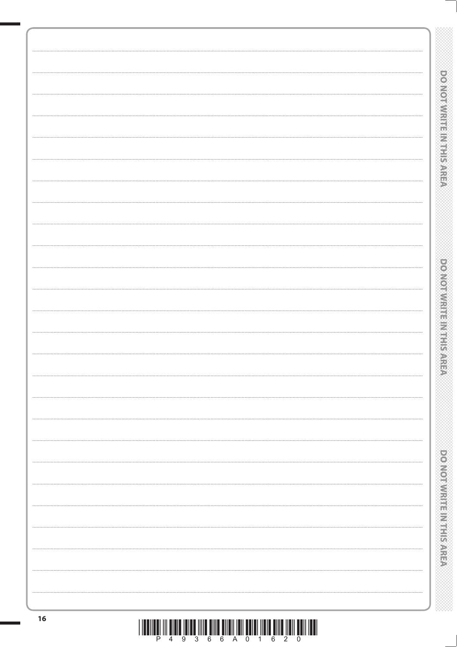|  |   | é  |   |   |   |  |
|--|---|----|---|---|---|--|
|  |   |    |   |   |   |  |
|  |   |    |   |   |   |  |
|  | j |    |   |   |   |  |
|  |   |    |   |   |   |  |
|  |   |    |   |   |   |  |
|  |   |    | C |   |   |  |
|  |   |    |   |   |   |  |
|  |   |    |   |   |   |  |
|  |   |    |   |   |   |  |
|  |   | ÷  |   |   |   |  |
|  |   |    |   |   |   |  |
|  |   |    |   |   |   |  |
|  |   |    |   |   |   |  |
|  |   | é  |   |   |   |  |
|  |   |    |   |   |   |  |
|  |   |    |   |   |   |  |
|  |   |    |   |   |   |  |
|  |   | Ì. |   |   |   |  |
|  |   |    |   |   |   |  |
|  |   |    |   |   |   |  |
|  |   | è  |   |   |   |  |
|  |   |    |   |   |   |  |
|  |   | Ě  |   |   |   |  |
|  |   |    |   |   |   |  |
|  |   |    |   |   | k |  |
|  |   |    |   |   |   |  |
|  |   |    |   |   |   |  |
|  |   |    |   | پ |   |  |
|  |   |    |   |   |   |  |
|  |   |    |   |   |   |  |
|  | 1 |    | п |   |   |  |
|  |   |    |   |   |   |  |
|  |   |    |   |   |   |  |
|  |   |    |   |   |   |  |
|  |   |    |   |   |   |  |
|  | ۰ |    |   |   |   |  |
|  |   |    |   |   |   |  |
|  |   |    |   |   |   |  |
|  |   |    |   |   |   |  |
|  |   | Ì  |   |   |   |  |
|  |   |    |   |   |   |  |
|  |   |    |   |   |   |  |
|  |   |    |   |   |   |  |
|  |   |    |   |   |   |  |
|  |   | ≧  |   |   |   |  |
|  |   |    |   |   |   |  |
|  |   | À  |   |   |   |  |
|  |   |    |   |   |   |  |
|  |   |    |   |   |   |  |
|  |   |    |   |   |   |  |
|  |   |    |   |   |   |  |
|  |   |    |   |   |   |  |
|  |   |    |   |   |   |  |
|  |   |    |   |   |   |  |
|  |   | ö  |   |   | I |  |
|  |   |    |   |   |   |  |
|  |   |    |   |   |   |  |
|  |   |    |   |   |   |  |
|  | í |    |   |   |   |  |
|  |   |    |   |   |   |  |
|  |   |    |   |   |   |  |
|  | ä |    |   |   |   |  |
|  |   |    |   |   |   |  |
|  | ļ |    |   |   |   |  |
|  |   |    |   |   |   |  |
|  |   |    |   |   |   |  |
|  | ń |    |   |   |   |  |
|  |   |    |   |   |   |  |
|  |   |    |   |   |   |  |
|  |   |    |   |   |   |  |
|  |   |    |   |   |   |  |
|  |   |    |   |   |   |  |
|  |   |    |   |   |   |  |
|  | ě |    |   |   |   |  |
|  |   |    |   |   |   |  |
|  |   |    |   |   |   |  |
|  |   |    |   |   |   |  |
|  |   |    |   |   |   |  |
|  |   |    |   |   |   |  |
|  |   |    |   |   |   |  |
|  |   |    |   |   |   |  |
|  |   |    |   |   |   |  |

|    |                                                                                                                                                                                                                                                                                                                                                                                                                                            | <b>DOMORANTE IN EARLY SARE</b> |
|----|--------------------------------------------------------------------------------------------------------------------------------------------------------------------------------------------------------------------------------------------------------------------------------------------------------------------------------------------------------------------------------------------------------------------------------------------|--------------------------------|
|    |                                                                                                                                                                                                                                                                                                                                                                                                                                            |                                |
|    |                                                                                                                                                                                                                                                                                                                                                                                                                                            |                                |
|    |                                                                                                                                                                                                                                                                                                                                                                                                                                            |                                |
|    |                                                                                                                                                                                                                                                                                                                                                                                                                                            |                                |
|    |                                                                                                                                                                                                                                                                                                                                                                                                                                            |                                |
|    |                                                                                                                                                                                                                                                                                                                                                                                                                                            |                                |
|    |                                                                                                                                                                                                                                                                                                                                                                                                                                            |                                |
|    |                                                                                                                                                                                                                                                                                                                                                                                                                                            |                                |
|    |                                                                                                                                                                                                                                                                                                                                                                                                                                            |                                |
|    |                                                                                                                                                                                                                                                                                                                                                                                                                                            |                                |
|    |                                                                                                                                                                                                                                                                                                                                                                                                                                            |                                |
|    |                                                                                                                                                                                                                                                                                                                                                                                                                                            |                                |
|    |                                                                                                                                                                                                                                                                                                                                                                                                                                            |                                |
|    |                                                                                                                                                                                                                                                                                                                                                                                                                                            |                                |
|    |                                                                                                                                                                                                                                                                                                                                                                                                                                            | <b>PONDONNIA PROTECTIONS</b>   |
|    |                                                                                                                                                                                                                                                                                                                                                                                                                                            |                                |
|    |                                                                                                                                                                                                                                                                                                                                                                                                                                            |                                |
|    |                                                                                                                                                                                                                                                                                                                                                                                                                                            |                                |
|    |                                                                                                                                                                                                                                                                                                                                                                                                                                            |                                |
|    |                                                                                                                                                                                                                                                                                                                                                                                                                                            |                                |
|    |                                                                                                                                                                                                                                                                                                                                                                                                                                            |                                |
|    |                                                                                                                                                                                                                                                                                                                                                                                                                                            | <b>DONOTOWRED MEETS AREA</b>   |
|    |                                                                                                                                                                                                                                                                                                                                                                                                                                            |                                |
|    |                                                                                                                                                                                                                                                                                                                                                                                                                                            |                                |
|    |                                                                                                                                                                                                                                                                                                                                                                                                                                            |                                |
|    |                                                                                                                                                                                                                                                                                                                                                                                                                                            |                                |
|    |                                                                                                                                                                                                                                                                                                                                                                                                                                            |                                |
|    |                                                                                                                                                                                                                                                                                                                                                                                                                                            |                                |
|    |                                                                                                                                                                                                                                                                                                                                                                                                                                            |                                |
|    |                                                                                                                                                                                                                                                                                                                                                                                                                                            |                                |
| 16 | $\prod_{4} \prod_{9} \prod_{3} \prod_{3} \prod_{6} \prod_{7} \prod_{8} \prod_{10} \prod_{11} \prod_{12} \prod_{13} \prod_{14} \prod_{15} \prod_{18} \prod_{19} \prod_{11} \prod_{11} \prod_{11} \prod_{11} \prod_{11} \prod_{11} \prod_{11} \prod_{11} \prod_{11} \prod_{11} \prod_{11} \prod_{11} \prod_{11} \prod_{11} \prod_{11} \prod_{11} \prod_{11} \prod_{11} \prod_{11} \prod_{11} \prod_{11} \prod_{11} \prod_{11$<br>$\parallel$ |                                |
|    | P                                                                                                                                                                                                                                                                                                                                                                                                                                          |                                |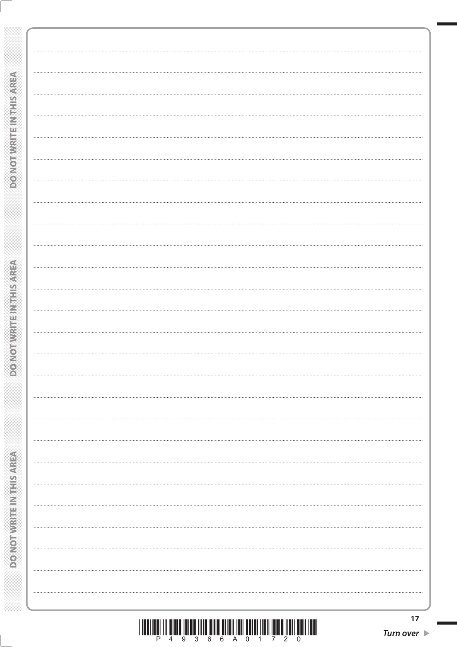| <b>DONOTHING TELESPIES</b><br><br><br><br><b>ONOTHWARE INSTALS AREA</b><br><br><br><br><br>17 |                                |  |
|-----------------------------------------------------------------------------------------------|--------------------------------|--|
|                                                                                               |                                |  |
|                                                                                               |                                |  |
|                                                                                               |                                |  |
|                                                                                               |                                |  |
|                                                                                               |                                |  |
|                                                                                               |                                |  |
|                                                                                               |                                |  |
|                                                                                               |                                |  |
|                                                                                               |                                |  |
|                                                                                               |                                |  |
|                                                                                               |                                |  |
|                                                                                               |                                |  |
|                                                                                               |                                |  |
|                                                                                               |                                |  |
|                                                                                               |                                |  |
|                                                                                               |                                |  |
|                                                                                               |                                |  |
|                                                                                               |                                |  |
|                                                                                               |                                |  |
|                                                                                               |                                |  |
|                                                                                               |                                |  |
|                                                                                               |                                |  |
|                                                                                               |                                |  |
|                                                                                               |                                |  |
|                                                                                               |                                |  |
|                                                                                               |                                |  |
|                                                                                               |                                |  |
|                                                                                               |                                |  |
|                                                                                               |                                |  |
|                                                                                               |                                |  |
|                                                                                               |                                |  |
|                                                                                               |                                |  |
|                                                                                               |                                |  |
|                                                                                               |                                |  |
|                                                                                               |                                |  |
|                                                                                               |                                |  |
|                                                                                               |                                |  |
|                                                                                               |                                |  |
|                                                                                               |                                |  |
|                                                                                               |                                |  |
|                                                                                               |                                |  |
|                                                                                               |                                |  |
|                                                                                               |                                |  |
|                                                                                               |                                |  |
|                                                                                               |                                |  |
|                                                                                               |                                |  |
|                                                                                               |                                |  |
|                                                                                               |                                |  |
|                                                                                               |                                |  |
|                                                                                               |                                |  |
|                                                                                               |                                |  |
|                                                                                               |                                |  |
|                                                                                               |                                |  |
|                                                                                               |                                |  |
|                                                                                               |                                |  |
|                                                                                               |                                |  |
|                                                                                               |                                |  |
|                                                                                               |                                |  |
|                                                                                               |                                |  |
|                                                                                               |                                |  |
|                                                                                               |                                |  |
|                                                                                               |                                |  |
|                                                                                               |                                |  |
|                                                                                               |                                |  |
|                                                                                               |                                |  |
|                                                                                               |                                |  |
|                                                                                               |                                |  |
|                                                                                               |                                |  |
|                                                                                               |                                |  |
|                                                                                               |                                |  |
|                                                                                               |                                |  |
|                                                                                               |                                |  |
|                                                                                               |                                |  |
|                                                                                               |                                |  |
|                                                                                               |                                |  |
|                                                                                               |                                |  |
|                                                                                               |                                |  |
|                                                                                               |                                |  |
|                                                                                               |                                |  |
|                                                                                               |                                |  |
|                                                                                               |                                |  |
|                                                                                               |                                |  |
|                                                                                               |                                |  |
|                                                                                               |                                |  |
|                                                                                               |                                |  |
|                                                                                               |                                |  |
|                                                                                               |                                |  |
|                                                                                               |                                |  |
|                                                                                               |                                |  |
|                                                                                               |                                |  |
|                                                                                               |                                |  |
|                                                                                               |                                |  |
|                                                                                               |                                |  |
|                                                                                               |                                |  |
|                                                                                               |                                |  |
|                                                                                               |                                |  |
|                                                                                               |                                |  |
|                                                                                               |                                |  |
|                                                                                               |                                |  |
|                                                                                               |                                |  |
|                                                                                               |                                |  |
|                                                                                               |                                |  |
|                                                                                               |                                |  |
|                                                                                               |                                |  |
|                                                                                               | <b>DOMOT WRITEIN THIS AREA</b> |  |
|                                                                                               |                                |  |
|                                                                                               |                                |  |
|                                                                                               |                                |  |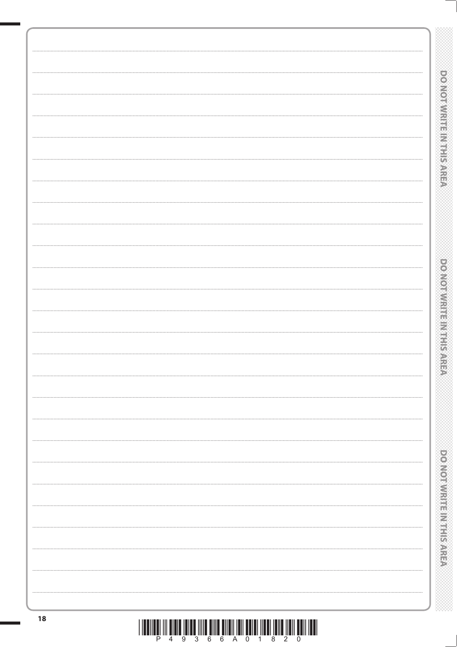|  |   |        |   | ₫  |   |  |
|--|---|--------|---|----|---|--|
|  |   |        |   |    |   |  |
|  |   |        |   |    |   |  |
|  |   |        |   |    |   |  |
|  |   | ¥      |   | Ę  |   |  |
|  |   |        |   |    |   |  |
|  |   |        |   |    |   |  |
|  | j |        |   |    |   |  |
|  |   |        |   |    |   |  |
|  |   |        |   |    |   |  |
|  |   |        |   |    |   |  |
|  |   |        |   |    |   |  |
|  |   |        |   |    |   |  |
|  |   |        |   |    |   |  |
|  |   | ų      |   |    |   |  |
|  |   |        |   |    |   |  |
|  |   |        |   |    |   |  |
|  |   |        | É |    |   |  |
|  |   |        |   |    |   |  |
|  |   |        |   |    |   |  |
|  |   |        |   |    |   |  |
|  |   |        |   |    |   |  |
|  |   |        |   |    |   |  |
|  |   | ÷      |   |    |   |  |
|  |   |        |   |    |   |  |
|  |   |        |   |    |   |  |
|  |   | ş      |   |    |   |  |
|  |   |        |   |    | l |  |
|  |   |        |   |    |   |  |
|  |   |        |   | يد |   |  |
|  |   |        |   |    |   |  |
|  |   |        |   |    |   |  |
|  |   |        |   |    |   |  |
|  |   |        |   |    |   |  |
|  |   |        |   |    |   |  |
|  |   |        |   |    |   |  |
|  |   | ۳      |   | ¥  |   |  |
|  |   | ÷      |   |    |   |  |
|  |   |        |   |    |   |  |
|  |   | è      |   |    |   |  |
|  |   |        |   |    |   |  |
|  |   |        |   |    |   |  |
|  |   |        |   |    |   |  |
|  |   |        |   |    |   |  |
|  |   | u      |   |    |   |  |
|  |   |        |   |    |   |  |
|  | ¥ |        |   |    |   |  |
|  |   |        |   |    |   |  |
|  |   |        |   |    |   |  |
|  |   |        |   |    |   |  |
|  |   |        |   |    |   |  |
|  |   |        |   |    |   |  |
|  |   |        |   |    |   |  |
|  |   |        |   |    |   |  |
|  |   |        |   |    |   |  |
|  |   |        |   |    |   |  |
|  |   | i<br>Q |   |    |   |  |
|  |   |        |   |    |   |  |
|  | î |        |   |    |   |  |
|  |   |        |   |    |   |  |
|  |   |        | ģ |    |   |  |
|  | j |        |   |    |   |  |
|  | ł | è      |   |    |   |  |
|  |   |        |   |    |   |  |
|  | ł |        |   |    |   |  |
|  |   |        |   |    |   |  |
|  |   |        |   |    |   |  |
|  |   |        |   |    |   |  |
|  |   |        |   |    |   |  |
|  |   |        |   |    |   |  |
|  |   |        |   |    |   |  |
|  |   |        |   |    |   |  |
|  | j |        |   |    |   |  |
|  |   |        |   |    |   |  |
|  |   |        |   |    |   |  |
|  |   |        |   |    |   |  |
|  |   |        |   |    |   |  |

|    |                                       |                                                                                                                                    |    | <b>DOMORWINEEMS ENGINEER</b> |
|----|---------------------------------------|------------------------------------------------------------------------------------------------------------------------------------|----|------------------------------|
|    |                                       |                                                                                                                                    |    |                              |
|    |                                       |                                                                                                                                    |    |                              |
|    |                                       |                                                                                                                                    |    |                              |
|    |                                       |                                                                                                                                    |    |                              |
|    |                                       |                                                                                                                                    |    |                              |
|    |                                       |                                                                                                                                    |    |                              |
|    |                                       |                                                                                                                                    |    |                              |
|    |                                       |                                                                                                                                    |    | <b>PONOIDINAL PROVIDED</b>   |
|    |                                       |                                                                                                                                    |    |                              |
|    |                                       |                                                                                                                                    |    |                              |
|    |                                       |                                                                                                                                    |    |                              |
|    |                                       |                                                                                                                                    |    |                              |
|    |                                       |                                                                                                                                    |    |                              |
|    |                                       |                                                                                                                                    |    |                              |
|    |                                       |                                                                                                                                    |    |                              |
|    |                                       |                                                                                                                                    |    |                              |
|    |                                       |                                                                                                                                    |    |                              |
|    |                                       |                                                                                                                                    |    | <b>DO MOTIVE EXPERIENCE</b>  |
|    |                                       |                                                                                                                                    |    |                              |
|    |                                       |                                                                                                                                    |    |                              |
|    |                                       |                                                                                                                                    |    |                              |
| 18 | $3^{11}6$<br>P<br>$\overline{4}$<br>9 | <u>UII IIII III</u><br>I<br>$\prod_{\circ}\prod_{\circ}\prod_{\circ}\prod_{\circ}$<br>$\overline{2}$ 0<br>$\overline{A}$<br>0<br>6 | ║║ |                              |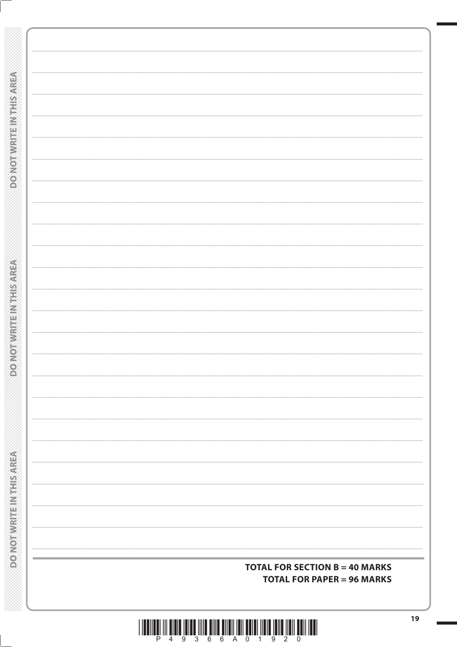|                                   | <b>TOTAL FOR SECTION B = 40 MARKS</b><br><b>TOTAL FOR PAPER = 96 MARKS</b> |
|-----------------------------------|----------------------------------------------------------------------------|
|                                   |                                                                            |
| <b>POWOTNIK TEINTH SAREA</b>      |                                                                            |
|                                   |                                                                            |
|                                   |                                                                            |
| <b>REPARENT PROPERTY OF STATE</b> |                                                                            |
|                                   |                                                                            |
|                                   |                                                                            |
|                                   |                                                                            |
|                                   |                                                                            |
| <b>DOMORAMENTE MARIO ACCO</b>     |                                                                            |
|                                   |                                                                            |
|                                   |                                                                            |
|                                   |                                                                            |